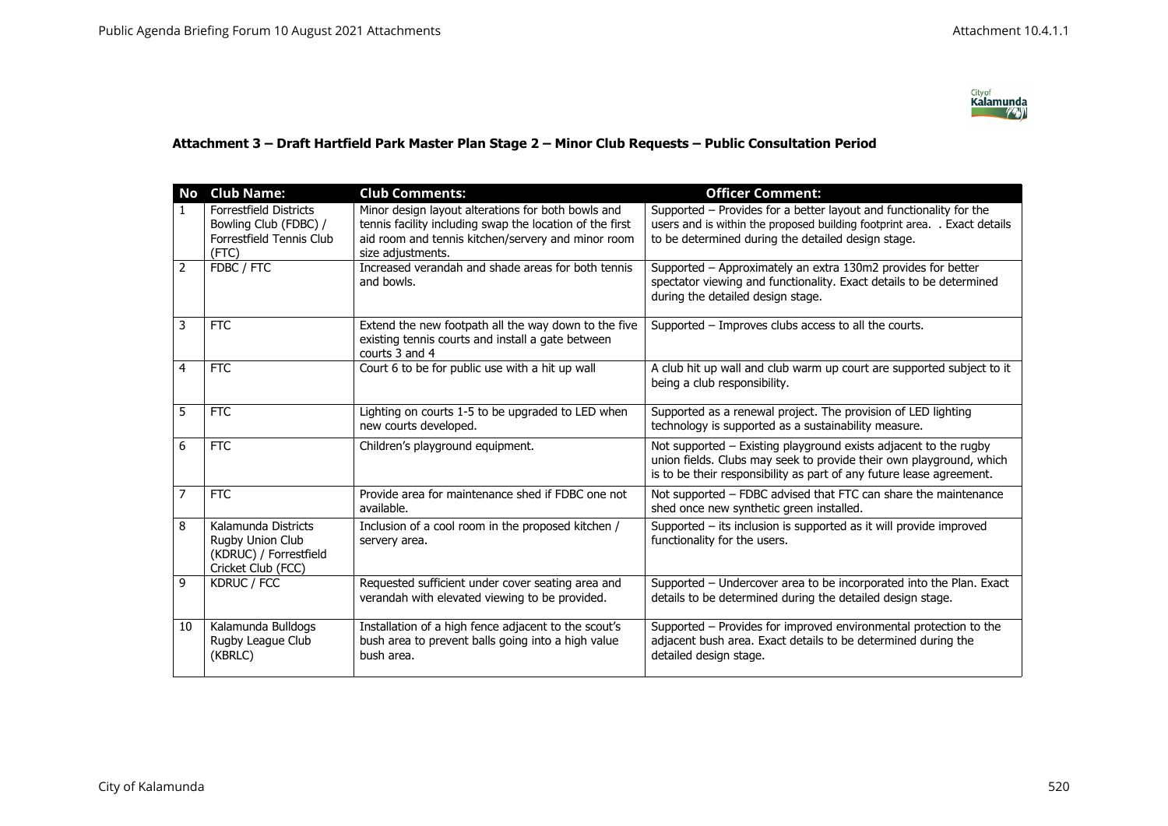

## **Attachment 3 – Draft Hartfield Park Master Plan Stage 2 – Minor Club Requests – Public Consultation Period**

| <b>No</b>      | <b>Club Name:</b>                                                                              | <b>Club Comments:</b>                                                                                                       | <b>Officer Comment:</b>                                                                                                                                                                                         |
|----------------|------------------------------------------------------------------------------------------------|-----------------------------------------------------------------------------------------------------------------------------|-----------------------------------------------------------------------------------------------------------------------------------------------------------------------------------------------------------------|
| 1.             | <b>Forrestfield Districts</b>                                                                  | Minor design layout alterations for both bowls and                                                                          | Supported – Provides for a better layout and functionality for the                                                                                                                                              |
|                | Bowling Club (FDBC) /                                                                          | tennis facility including swap the location of the first                                                                    | users and is within the proposed building footprint area. . Exact details                                                                                                                                       |
|                | Forrestfield Tennis Club                                                                       | aid room and tennis kitchen/servery and minor room                                                                          | to be determined during the detailed design stage.                                                                                                                                                              |
| $\overline{2}$ | (FTC)<br>FDBC / FTC                                                                            | size adjustments.<br>Increased verandah and shade areas for both tennis                                                     | Supported - Approximately an extra 130m2 provides for better                                                                                                                                                    |
|                |                                                                                                | and bowls.                                                                                                                  | spectator viewing and functionality. Exact details to be determined<br>during the detailed design stage.                                                                                                        |
| 3              | <b>FTC</b>                                                                                     | Extend the new footpath all the way down to the five<br>existing tennis courts and install a gate between<br>courts 3 and 4 | Supported - Improves clubs access to all the courts.                                                                                                                                                            |
| 4              | <b>FTC</b>                                                                                     | Court 6 to be for public use with a hit up wall                                                                             | A club hit up wall and club warm up court are supported subject to it<br>being a club responsibility.                                                                                                           |
| 5              | <b>FTC</b>                                                                                     | Lighting on courts 1-5 to be upgraded to LED when<br>new courts developed.                                                  | Supported as a renewal project. The provision of LED lighting<br>technology is supported as a sustainability measure.                                                                                           |
| 6              | <b>FTC</b>                                                                                     | Children's playground equipment.                                                                                            | Not supported - Existing playground exists adjacent to the rugby<br>union fields. Clubs may seek to provide their own playground, which<br>is to be their responsibility as part of any future lease agreement. |
| 7              | <b>FTC</b>                                                                                     | Provide area for maintenance shed if FDBC one not<br>available.                                                             | Not supported - FDBC advised that FTC can share the maintenance<br>shed once new synthetic green installed.                                                                                                     |
| 8              | Kalamunda Districts<br><b>Rugby Union Club</b><br>(KDRUC) / Forrestfield<br>Cricket Club (FCC) | Inclusion of a cool room in the proposed kitchen /<br>servery area.                                                         | Supported – its inclusion is supported as it will provide improved<br>functionality for the users.                                                                                                              |
| 9              | KDRUC / FCC                                                                                    | Requested sufficient under cover seating area and<br>verandah with elevated viewing to be provided.                         | Supported - Undercover area to be incorporated into the Plan. Exact<br>details to be determined during the detailed design stage.                                                                               |
| 10             | Kalamunda Bulldogs<br>Rugby League Club<br>(KBRLC)                                             | Installation of a high fence adjacent to the scout's<br>bush area to prevent balls going into a high value<br>bush area.    | Supported - Provides for improved environmental protection to the<br>adjacent bush area. Exact details to be determined during the<br>detailed design stage.                                                    |